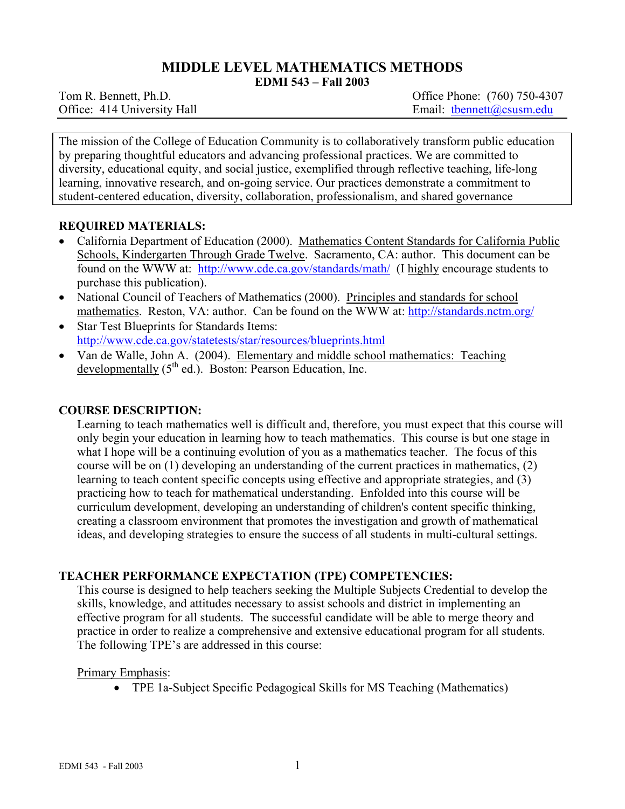# **MIDDLE LEVEL MATHEMATICS METHODS**

**EDMI 543 – Fall 2003** 

Tom R. Bennett, Ph.D. *Office Phone: (760) 750-4307* Office: 414 University Hall Email: thennett@csusm.edu

The mission of the College of Education Community is to collaboratively transform public education by preparing thoughtful educators and advancing professional practices. We are committed to diversity, educational equity, and social justice, exemplified through reflective teaching, life-long learning, innovative research, and on-going service. Our practices demonstrate a commitment to student-centered education, diversity, collaboration, professionalism, and shared governance

## **REQUIRED MATERIALS:**

- California Department of Education (2000). Mathematics Content Standards for California Public Schools, Kindergarten Through Grade Twelve. Sacramento, CA: author. This document can be found on the WWW at: http://www.cde.ca.gov/standards/math/ (I highly encourage students to purchase this publication).
- National Council of Teachers of Mathematics (2000). Principles and standards for school mathematics. Reston, VA: author. Can be found on the WWW at: http://standards.nctm.org/
- Star Test Blueprints for Standards Items: http://www.cde.ca.gov/statetests/star/resources/blueprints.html
- Van de Walle, John A. (2004). Elementary and middle school mathematics: Teaching developmentally  $(5<sup>th</sup>$  ed.). Boston: Pearson Education, Inc.

## **COURSE DESCRIPTION:**

Learning to teach mathematics well is difficult and, therefore, you must expect that this course will only begin your education in learning how to teach mathematics. This course is but one stage in what I hope will be a continuing evolution of you as a mathematics teacher. The focus of this course will be on (1) developing an understanding of the current practices in mathematics, (2) learning to teach content specific concepts using effective and appropriate strategies, and (3) practicing how to teach for mathematical understanding. Enfolded into this course will be curriculum development, developing an understanding of children's content specific thinking, creating a classroom environment that promotes the investigation and growth of mathematical ideas, and developing strategies to ensure the success of all students in multi-cultural settings.

# **TEACHER PERFORMANCE EXPECTATION (TPE) COMPETENCIES:**

This course is designed to help teachers seeking the Multiple Subjects Credential to develop the skills, knowledge, and attitudes necessary to assist schools and district in implementing an effective program for all students. The successful candidate will be able to merge theory and practice in order to realize a comprehensive and extensive educational program for all students. The following TPE's are addressed in this course:

## Primary Emphasis:

• TPE 1a-Subject Specific Pedagogical Skills for MS Teaching (Mathematics)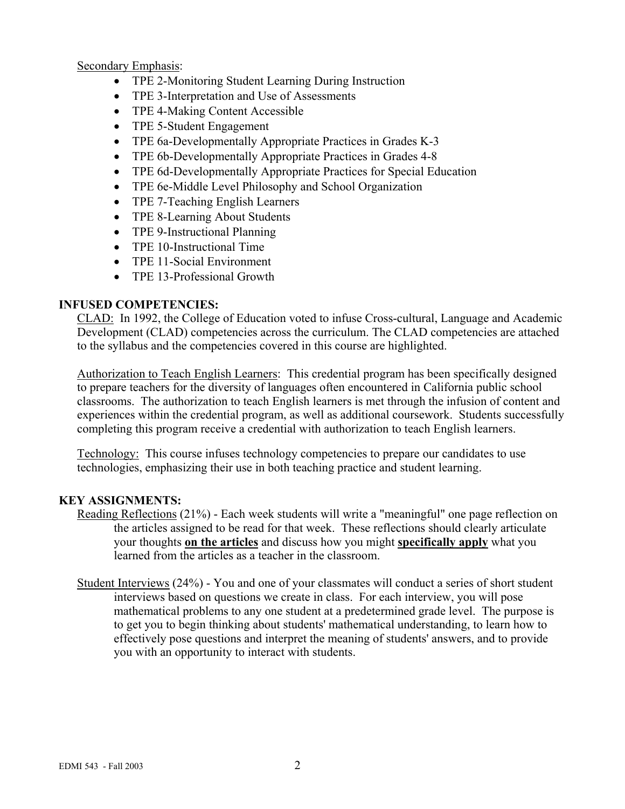Secondary Emphasis:

- TPE 2-Monitoring Student Learning During Instruction
- TPE 3-Interpretation and Use of Assessments
- TPE 4-Making Content Accessible
- TPE 5-Student Engagement
- TPE 6a-Developmentally Appropriate Practices in Grades K-3
- TPE 6b-Developmentally Appropriate Practices in Grades 4-8
- TPE 6d-Developmentally Appropriate Practices for Special Education
- TPE 6e-Middle Level Philosophy and School Organization
- TPE 7-Teaching English Learners
- TPE 8-Learning About Students
- TPE 9-Instructional Planning
- TPE 10-Instructional Time
- TPE 11-Social Environment
- TPE 13-Professional Growth

## **INFUSED COMPETENCIES:**

CLAD: In 1992, the College of Education voted to infuse Cross-cultural, Language and Academic Development (CLAD) competencies across the curriculum. The CLAD competencies are attached to the syllabus and the competencies covered in this course are highlighted.

Authorization to Teach English Learners: This credential program has been specifically designed to prepare teachers for the diversity of languages often encountered in California public school classrooms. The authorization to teach English learners is met through the infusion of content and experiences within the credential program, as well as additional coursework. Students successfully completing this program receive a credential with authorization to teach English learners.

Technology: This course infuses technology competencies to prepare our candidates to use technologies, emphasizing their use in both teaching practice and student learning.

# **KEY ASSIGNMENTS:**

- Reading Reflections (21%) Each week students will write a "meaningful" one page reflection on the articles assigned to be read for that week. These reflections should clearly articulate your thoughts **on the articles** and discuss how you might **specifically apply** what you learned from the articles as a teacher in the classroom.
- Student Interviews (24%) You and one of your classmates will conduct a series of short student interviews based on questions we create in class. For each interview, you will pose mathematical problems to any one student at a predetermined grade level. The purpose is to get you to begin thinking about students' mathematical understanding, to learn how to effectively pose questions and interpret the meaning of students' answers, and to provide you with an opportunity to interact with students.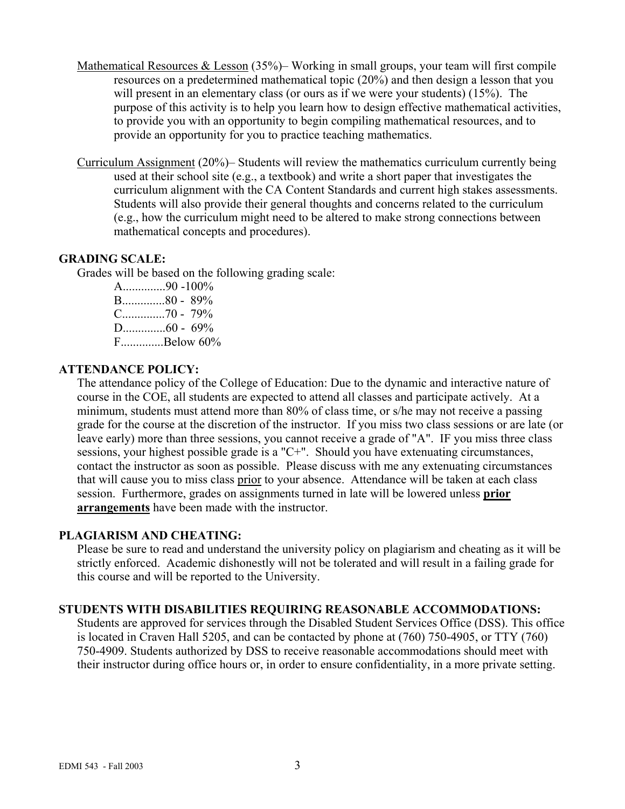- Mathematical Resources & Lesson (35%)– Working in small groups, your team will first compile resources on a predetermined mathematical topic (20%) and then design a lesson that you will present in an elementary class (or ours as if we were your students) (15%). The purpose of this activity is to help you learn how to design effective mathematical activities, to provide you with an opportunity to begin compiling mathematical resources, and to provide an opportunity for you to practice teaching mathematics.
- Curriculum Assignment (20%)– Students will review the mathematics curriculum currently being used at their school site (e.g., a textbook) and write a short paper that investigates the curriculum alignment with the CA Content Standards and current high stakes assessments. Students will also provide their general thoughts and concerns related to the curriculum (e.g., how the curriculum might need to be altered to make strong connections between mathematical concepts and procedures).

#### **GRADING SCALE:**

Grades will be based on the following grading scale:

A..............90 -100% B..............80 - 89% C..............70 - 79%  $D_{\dots}$  60 - 69% F..............Below 60%

#### **ATTENDANCE POLICY:**

The attendance policy of the College of Education: Due to the dynamic and interactive nature of course in the COE, all students are expected to attend all classes and participate actively. At a minimum, students must attend more than 80% of class time, or s/he may not receive a passing grade for the course at the discretion of the instructor. If you miss two class sessions or are late (or leave early) more than three sessions, you cannot receive a grade of "A". IF you miss three class sessions, your highest possible grade is a "C+". Should you have extenuating circumstances, contact the instructor as soon as possible. Please discuss with me any extenuating circumstances that will cause you to miss class prior to your absence. Attendance will be taken at each class session. Furthermore, grades on assignments turned in late will be lowered unless **prior arrangements** have been made with the instructor.

## **PLAGIARISM AND CHEATING:**

Please be sure to read and understand the university policy on plagiarism and cheating as it will be strictly enforced. Academic dishonestly will not be tolerated and will result in a failing grade for this course and will be reported to the University.

## **STUDENTS WITH DISABILITIES REQUIRING REASONABLE ACCOMMODATIONS:**

Students are approved for services through the Disabled Student Services Office (DSS). This office is located in Craven Hall 5205, and can be contacted by phone at (760) 750-4905, or TTY (760) 750-4909. Students authorized by DSS to receive reasonable accommodations should meet with their instructor during office hours or, in order to ensure confidentiality, in a more private setting.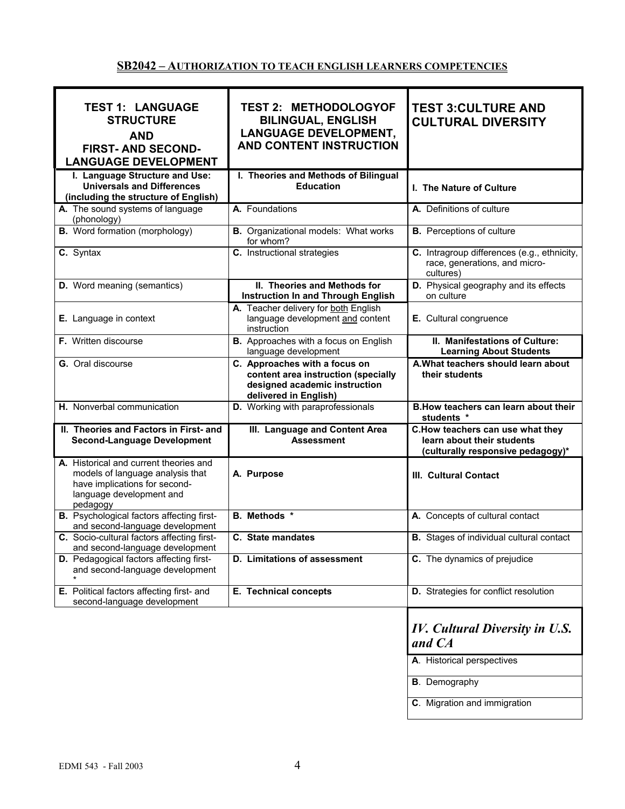# **SB2042 – AUTHORIZATION TO TEACH ENGLISH LEARNERS COMPETENCIES**

| <b>TEST 1: LANGUAGE</b><br><b>STRUCTURE</b><br><b>AND</b><br><b>FIRST-AND SECOND-</b><br><b>LANGUAGE DEVELOPMENT</b>                                | <b>TEST 2: METHODOLOGYOF</b><br><b>BILINGUAL, ENGLISH</b><br><b>LANGUAGE DEVELOPMENT,</b><br>AND CONTENT INSTRUCTION           | <b>TEST 3: CULTURE AND</b><br><b>CULTURAL DIVERSITY</b>                                             |
|-----------------------------------------------------------------------------------------------------------------------------------------------------|--------------------------------------------------------------------------------------------------------------------------------|-----------------------------------------------------------------------------------------------------|
| I. Language Structure and Use:<br><b>Universals and Differences</b><br>(including the structure of English)                                         | I. Theories and Methods of Bilingual<br><b>Education</b>                                                                       | I. The Nature of Culture                                                                            |
| A. The sound systems of language<br>(phonology)                                                                                                     | A. Foundations                                                                                                                 | A. Definitions of culture                                                                           |
| <b>B.</b> Word formation (morphology)                                                                                                               | <b>B.</b> Organizational models: What works<br>for whom?                                                                       | <b>B.</b> Perceptions of culture                                                                    |
| C. Syntax                                                                                                                                           | C. Instructional strategies                                                                                                    | C. Intragroup differences (e.g., ethnicity,<br>race, generations, and micro-<br>cultures)           |
| <b>D.</b> Word meaning (semantics)                                                                                                                  | II. Theories and Methods for<br><b>Instruction In and Through English</b>                                                      | D. Physical geography and its effects<br>on culture                                                 |
| E. Language in context                                                                                                                              | A. Teacher delivery for both English<br>language development and content<br>instruction                                        | E. Cultural congruence                                                                              |
| F. Written discourse                                                                                                                                | B. Approaches with a focus on English<br>language development                                                                  | II. Manifestations of Culture:<br><b>Learning About Students</b>                                    |
| G. Oral discourse                                                                                                                                   | C. Approaches with a focus on<br>content area instruction (specially<br>designed academic instruction<br>delivered in English) | A. What teachers should learn about<br>their students                                               |
| H. Nonverbal communication                                                                                                                          | D. Working with paraprofessionals                                                                                              | B. How teachers can learn about their<br>students *                                                 |
| II. Theories and Factors in First- and<br><b>Second-Language Development</b>                                                                        | III. Language and Content Area<br><b>Assessment</b>                                                                            | C.How teachers can use what they<br>learn about their students<br>(culturally responsive pedagogy)* |
| A. Historical and current theories and<br>models of language analysis that<br>have implications for second-<br>language development and<br>pedagogy | A. Purpose                                                                                                                     | III. Cultural Contact                                                                               |
| <b>B.</b> Psychological factors affecting first-<br>and second-language development                                                                 | <b>B.</b> Methods *                                                                                                            | A. Concepts of cultural contact                                                                     |
| C. Socio-cultural factors affecting first-<br>and second-language development                                                                       | C. State mandates                                                                                                              | <b>B.</b> Stages of individual cultural contact                                                     |
| <b>D.</b> Pedagogical factors affecting first-<br>and second-language development                                                                   | D. Limitations of assessment                                                                                                   | C. The dynamics of prejudice                                                                        |
| E. Political factors affecting first- and<br>second-language development                                                                            | E. Technical concepts                                                                                                          | D. Strategies for conflict resolution                                                               |
|                                                                                                                                                     |                                                                                                                                | <b>IV.</b> Cultural Diversity in U.S.<br>and CA                                                     |
|                                                                                                                                                     |                                                                                                                                | A. Historical perspectives                                                                          |
|                                                                                                                                                     |                                                                                                                                | <b>B</b> . Demography                                                                               |
|                                                                                                                                                     |                                                                                                                                | C. Migration and immigration                                                                        |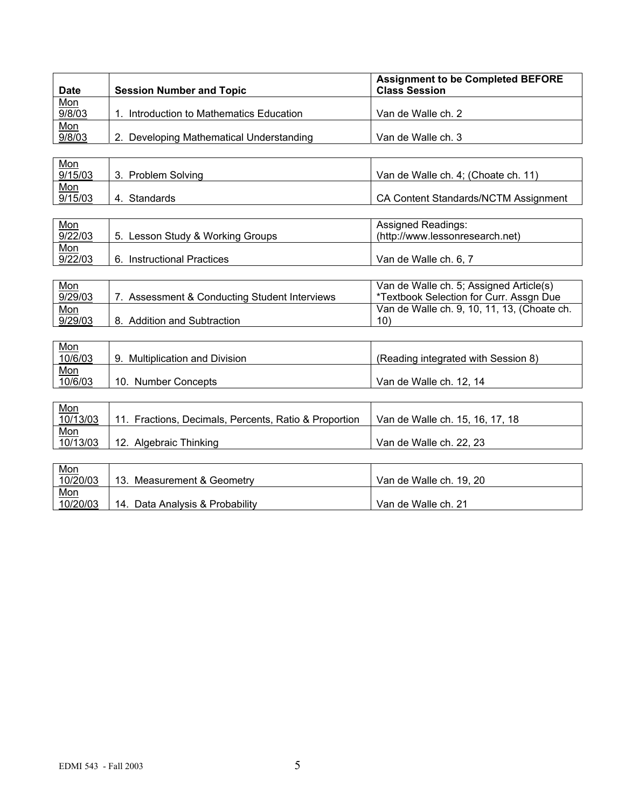| <b>Date</b>   | <b>Session Number and Topic</b>          | <b>Assignment to be Completed BEFORE</b><br><b>Class Session</b> |
|---------------|------------------------------------------|------------------------------------------------------------------|
| Mon<br>9/8/03 |                                          |                                                                  |
|               | Introduction to Mathematics Education    | Van de Walle ch. 2                                               |
|               |                                          |                                                                  |
| Mon<br>9/8/03 | 2. Developing Mathematical Understanding | Van de Walle ch. 3                                               |

| <u>Mon</u> |                        |                                      |
|------------|------------------------|--------------------------------------|
| 9/15/03    | <b>Problem Solving</b> | Van de Walle ch. 4; (Choate ch. 11)  |
| <u>Mon</u> |                        |                                      |
| 9/15/03    | Standards<br>4.        | CA Content Standards/NCTM Assignment |

| <u>Mon</u> |                                  | Assigned Readings:              |
|------------|----------------------------------|---------------------------------|
| 9/22/03    | 5. Lesson Study & Working Groups | (http://www.lessonresearch.net) |
| <u>Mon</u> |                                  |                                 |
| 9/22/03    | Instructional Practices<br>6.    | Van de Walle ch. 6, 7           |

| <u>Mon</u> |                                            | Van de Walle ch. 5; Assigned Article(s)     |
|------------|--------------------------------------------|---------------------------------------------|
| 9/29/03    | Assessment & Conducting Student Interviews | *Textbook Selection for Curr. Assgn Due     |
| Mon        |                                            | Van de Walle ch. 9, 10, 11, 13, (Choate ch. |
| 9/29/03    | 8. Addition and Subtraction                | 10)                                         |

| <u>Mon</u> |                                   |                                     |
|------------|-----------------------------------|-------------------------------------|
| 10/6/03    | Multiplication and Division<br>9. | (Reading integrated with Session 8) |
| <u>Mon</u> |                                   |                                     |
| 10/6/03    | 10. Number Concepts               | Van de Walle ch. 12. 14             |

| <u>Mon</u> |                                                       |                                 |
|------------|-------------------------------------------------------|---------------------------------|
| 10/13/03   | 11. Fractions, Decimals, Percents, Ratio & Proportion | Van de Walle ch. 15, 16, 17, 18 |
| <u>Mon</u> |                                                       |                                 |
| 10/13/03   | 12. Algebraic Thinking                                | Van de Walle ch. 22, 23         |

| <u>Mon</u> |                                 |                         |
|------------|---------------------------------|-------------------------|
| 10/20/03   | Measurement & Geometry          | Van de Walle ch. 19, 20 |
| Mon        |                                 |                         |
| 10/20/03   | 14. Data Analysis & Probability | Van de Walle ch. 21     |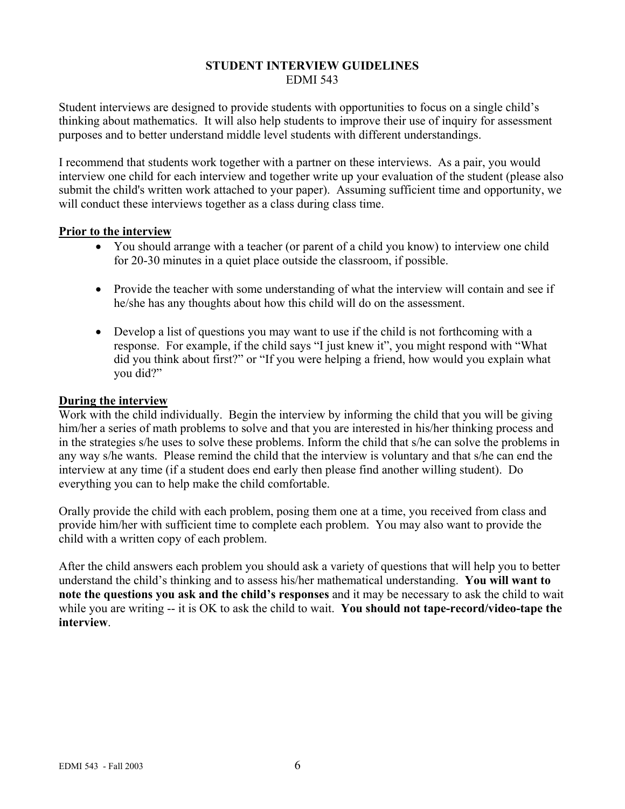#### **STUDENT INTERVIEW GUIDELINES**  EDMI 543

Student interviews are designed to provide students with opportunities to focus on a single child's thinking about mathematics. It will also help students to improve their use of inquiry for assessment purposes and to better understand middle level students with different understandings.

I recommend that students work together with a partner on these interviews. As a pair, you would interview one child for each interview and together write up your evaluation of the student (please also submit the child's written work attached to your paper). Assuming sufficient time and opportunity, we will conduct these interviews together as a class during class time.

#### **Prior to the interview**

- You should arrange with a teacher (or parent of a child you know) to interview one child for 20-30 minutes in a quiet place outside the classroom, if possible.
- Provide the teacher with some understanding of what the interview will contain and see if he/she has any thoughts about how this child will do on the assessment.
- Develop a list of questions you may want to use if the child is not forthcoming with a response. For example, if the child says "I just knew it", you might respond with "What did you think about first?" or "If you were helping a friend, how would you explain what you did?"

#### **During the interview**

Work with the child individually. Begin the interview by informing the child that you will be giving him/her a series of math problems to solve and that you are interested in his/her thinking process and in the strategies s/he uses to solve these problems. Inform the child that s/he can solve the problems in any way s/he wants. Please remind the child that the interview is voluntary and that s/he can end the interview at any time (if a student does end early then please find another willing student). Do everything you can to help make the child comfortable.

Orally provide the child with each problem, posing them one at a time, you received from class and provide him/her with sufficient time to complete each problem. You may also want to provide the child with a written copy of each problem.

After the child answers each problem you should ask a variety of questions that will help you to better understand the child's thinking and to assess his/her mathematical understanding. **You will want to note the questions you ask and the child's responses** and it may be necessary to ask the child to wait while you are writing -- it is OK to ask the child to wait. **You should not tape-record/video-tape the interview**.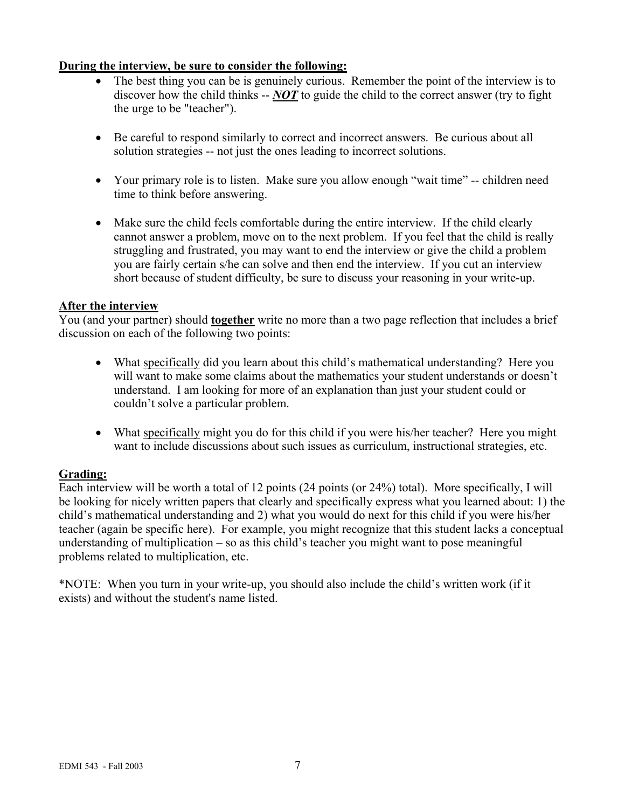## **During the interview, be sure to consider the following:**

- The best thing you can be is genuinely curious. Remember the point of the interview is to discover how the child thinks -- *NOT* to guide the child to the correct answer (try to fight the urge to be "teacher").
- Be careful to respond similarly to correct and incorrect answers. Be curious about all solution strategies -- not just the ones leading to incorrect solutions.
- Your primary role is to listen. Make sure you allow enough "wait time" -- children need time to think before answering.
- Make sure the child feels comfortable during the entire interview. If the child clearly cannot answer a problem, move on to the next problem. If you feel that the child is really struggling and frustrated, you may want to end the interview or give the child a problem you are fairly certain s/he can solve and then end the interview. If you cut an interview short because of student difficulty, be sure to discuss your reasoning in your write-up.

## **After the interview**

You (and your partner) should **together** write no more than a two page reflection that includes a brief discussion on each of the following two points:

- What specifically did you learn about this child's mathematical understanding? Here you will want to make some claims about the mathematics your student understands or doesn't understand. I am looking for more of an explanation than just your student could or couldn't solve a particular problem.
- What specifically might you do for this child if you were his/her teacher? Here you might want to include discussions about such issues as curriculum, instructional strategies, etc.

## **Grading:**

Each interview will be worth a total of 12 points (24 points (or 24%) total). More specifically, I will be looking for nicely written papers that clearly and specifically express what you learned about: 1) the child's mathematical understanding and 2) what you would do next for this child if you were his/her teacher (again be specific here). For example, you might recognize that this student lacks a conceptual understanding of multiplication – so as this child's teacher you might want to pose meaningful problems related to multiplication, etc.

\*NOTE: When you turn in your write-up, you should also include the child's written work (if it exists) and without the student's name listed.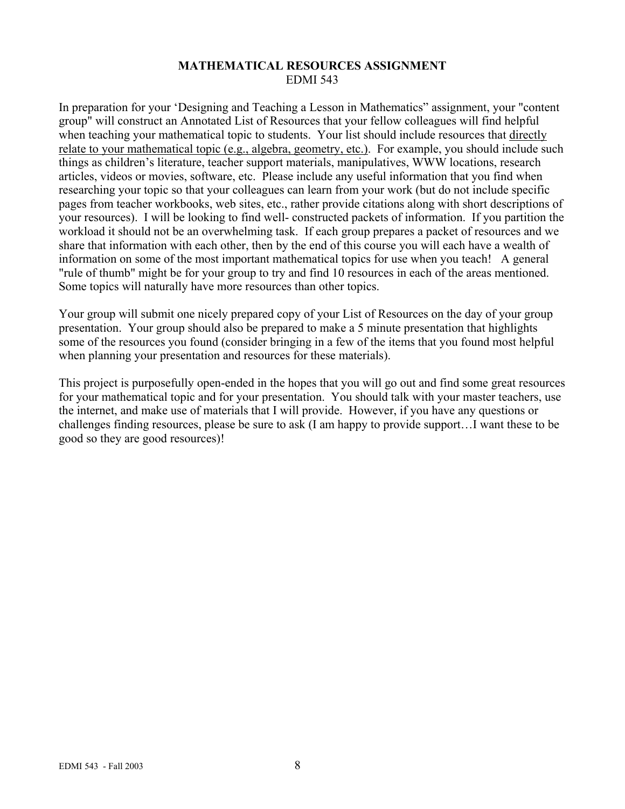## **MATHEMATICAL RESOURCES ASSIGNMENT**  EDMI 543

In preparation for your 'Designing and Teaching a Lesson in Mathematics" assignment, your "content group" will construct an Annotated List of Resources that your fellow colleagues will find helpful when teaching your mathematical topic to students. Your list should include resources that directly relate to your mathematical topic (e.g., algebra, geometry, etc.). For example, you should include such things as children's literature, teacher support materials, manipulatives, WWW locations, research articles, videos or movies, software, etc. Please include any useful information that you find when researching your topic so that your colleagues can learn from your work (but do not include specific pages from teacher workbooks, web sites, etc., rather provide citations along with short descriptions of your resources). I will be looking to find well- constructed packets of information. If you partition the workload it should not be an overwhelming task. If each group prepares a packet of resources and we share that information with each other, then by the end of this course you will each have a wealth of information on some of the most important mathematical topics for use when you teach! A general "rule of thumb" might be for your group to try and find 10 resources in each of the areas mentioned. Some topics will naturally have more resources than other topics.

Your group will submit one nicely prepared copy of your List of Resources on the day of your group presentation. Your group should also be prepared to make a 5 minute presentation that highlights some of the resources you found (consider bringing in a few of the items that you found most helpful when planning your presentation and resources for these materials).

This project is purposefully open-ended in the hopes that you will go out and find some great resources for your mathematical topic and for your presentation. You should talk with your master teachers, use the internet, and make use of materials that I will provide. However, if you have any questions or challenges finding resources, please be sure to ask (I am happy to provide support…I want these to be good so they are good resources)!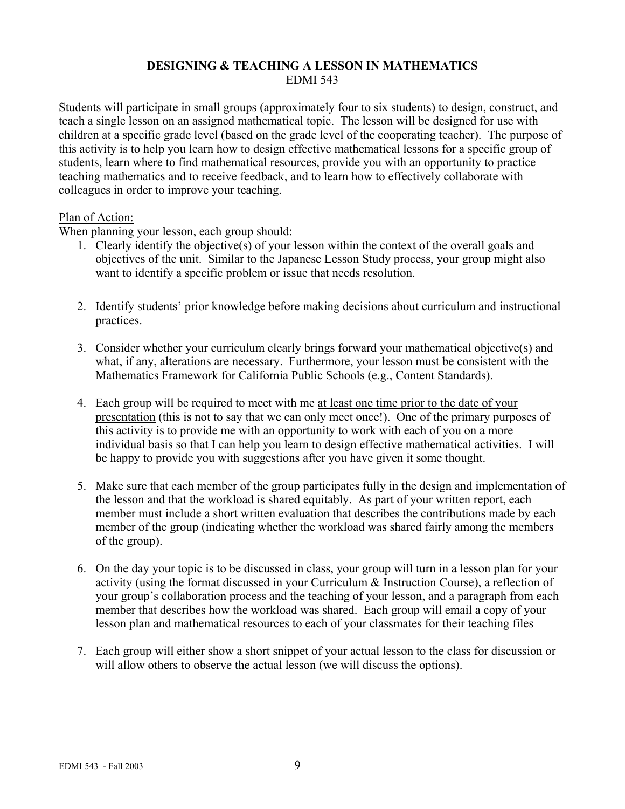## **DESIGNING & TEACHING A LESSON IN MATHEMATICS**  EDMI 543

Students will participate in small groups (approximately four to six students) to design, construct, and teach a single lesson on an assigned mathematical topic. The lesson will be designed for use with children at a specific grade level (based on the grade level of the cooperating teacher). The purpose of this activity is to help you learn how to design effective mathematical lessons for a specific group of students, learn where to find mathematical resources, provide you with an opportunity to practice teaching mathematics and to receive feedback, and to learn how to effectively collaborate with colleagues in order to improve your teaching.

## Plan of Action:

When planning your lesson, each group should:

- 1. Clearly identify the objective(s) of your lesson within the context of the overall goals and objectives of the unit. Similar to the Japanese Lesson Study process, your group might also want to identify a specific problem or issue that needs resolution.
- 2. Identify students' prior knowledge before making decisions about curriculum and instructional practices.
- 3. Consider whether your curriculum clearly brings forward your mathematical objective(s) and what, if any, alterations are necessary. Furthermore, your lesson must be consistent with the Mathematics Framework for California Public Schools (e.g., Content Standards).
- 4. Each group will be required to meet with me at least one time prior to the date of your presentation (this is not to say that we can only meet once!). One of the primary purposes of this activity is to provide me with an opportunity to work with each of you on a more individual basis so that I can help you learn to design effective mathematical activities. I will be happy to provide you with suggestions after you have given it some thought.
- 5. Make sure that each member of the group participates fully in the design and implementation of the lesson and that the workload is shared equitably. As part of your written report, each member must include a short written evaluation that describes the contributions made by each member of the group (indicating whether the workload was shared fairly among the members of the group).
- 6. On the day your topic is to be discussed in class, your group will turn in a lesson plan for your activity (using the format discussed in your Curriculum & Instruction Course), a reflection of your group's collaboration process and the teaching of your lesson, and a paragraph from each member that describes how the workload was shared. Each group will email a copy of your lesson plan and mathematical resources to each of your classmates for their teaching files
- 7. Each group will either show a short snippet of your actual lesson to the class for discussion or will allow others to observe the actual lesson (we will discuss the options).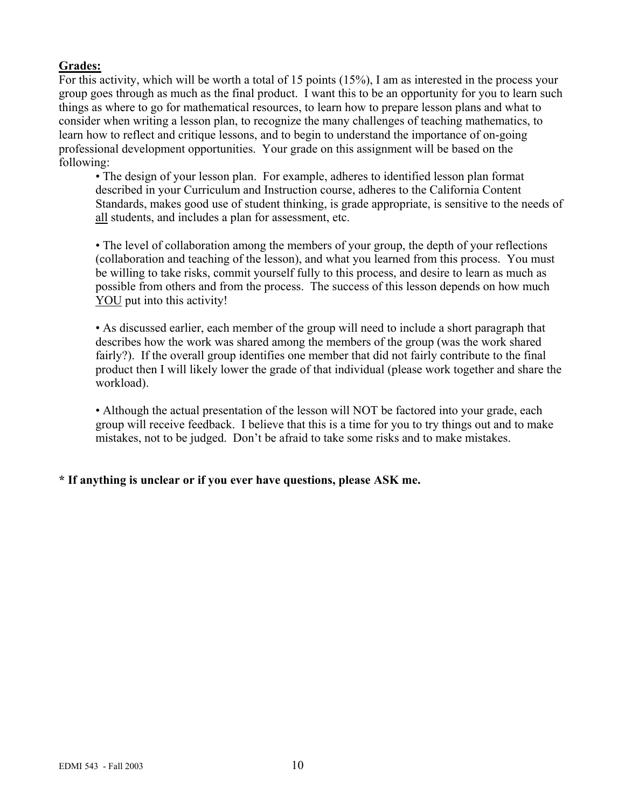# **Grades:**

For this activity, which will be worth a total of 15 points (15%), I am as interested in the process your group goes through as much as the final product. I want this to be an opportunity for you to learn such things as where to go for mathematical resources, to learn how to prepare lesson plans and what to consider when writing a lesson plan, to recognize the many challenges of teaching mathematics, to learn how to reflect and critique lessons, and to begin to understand the importance of on-going professional development opportunities. Your grade on this assignment will be based on the following:

• The design of your lesson plan. For example, adheres to identified lesson plan format described in your Curriculum and Instruction course, adheres to the California Content Standards, makes good use of student thinking, is grade appropriate, is sensitive to the needs of all students, and includes a plan for assessment, etc.

• The level of collaboration among the members of your group, the depth of your reflections (collaboration and teaching of the lesson), and what you learned from this process. You must be willing to take risks, commit yourself fully to this process, and desire to learn as much as possible from others and from the process. The success of this lesson depends on how much YOU put into this activity!

• As discussed earlier, each member of the group will need to include a short paragraph that describes how the work was shared among the members of the group (was the work shared fairly?). If the overall group identifies one member that did not fairly contribute to the final product then I will likely lower the grade of that individual (please work together and share the workload).

• Although the actual presentation of the lesson will NOT be factored into your grade, each group will receive feedback. I believe that this is a time for you to try things out and to make mistakes, not to be judged. Don't be afraid to take some risks and to make mistakes.

# **\* If anything is unclear or if you ever have questions, please ASK me.**